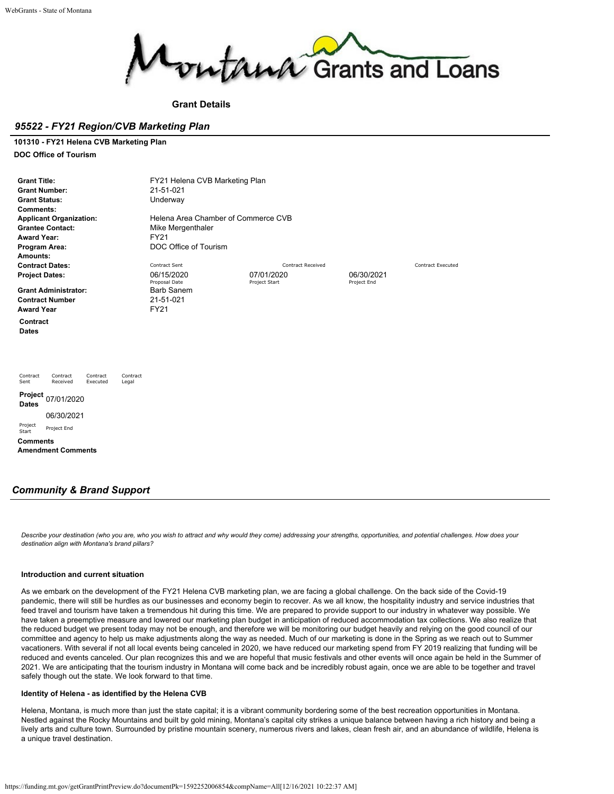

**Grant Details**

### *95522 - FY21 Region/CVB Marketing Plan*

#### **101310 - FY21 Helena CVB Marketing Plan**

**DOC Office of Tourism**

| FY21 Helena CVB Marketing Plan<br><b>Grant Title:</b><br><b>Grant Number:</b><br>21-51-021<br><b>Grant Status:</b><br>Underway<br>Comments:<br>Helena Area Chamber of Commerce CVB<br><b>Applicant Organization:</b><br><b>Grantee Contact:</b><br>Mike Mergenthaler<br><b>Award Year:</b><br><b>FY21</b><br>DOC Office of Tourism<br>Program Area:<br>Amounts: |                                                                |                          |             |                          |  |  |  |  |
|-----------------------------------------------------------------------------------------------------------------------------------------------------------------------------------------------------------------------------------------------------------------------------------------------------------------------------------------------------------------|----------------------------------------------------------------|--------------------------|-------------|--------------------------|--|--|--|--|
| <b>Contract Dates:</b>                                                                                                                                                                                                                                                                                                                                          | Contract Sent                                                  | <b>Contract Received</b> |             | <b>Contract Executed</b> |  |  |  |  |
| <b>Project Dates:</b>                                                                                                                                                                                                                                                                                                                                           | 06/15/2020                                                     | 07/01/2020               | 06/30/2021  |                          |  |  |  |  |
| <b>Grant Administrator:</b><br><b>Contract Number</b><br><b>Award Year</b>                                                                                                                                                                                                                                                                                      | Proposal Date<br><b>Barb Sanem</b><br>21-51-021<br><b>FY21</b> | Project Start            | Project End |                          |  |  |  |  |
| Contract<br><b>Dates</b>                                                                                                                                                                                                                                                                                                                                        |                                                                |                          |             |                          |  |  |  |  |
| Contract<br>Contract<br>Contract<br>Contract<br>Sent<br>Received<br>Executed<br>Legal                                                                                                                                                                                                                                                                           |                                                                |                          |             |                          |  |  |  |  |
| Project<br>07/01/2020<br><b>Dates</b>                                                                                                                                                                                                                                                                                                                           |                                                                |                          |             |                          |  |  |  |  |
| 06/30/2021                                                                                                                                                                                                                                                                                                                                                      |                                                                |                          |             |                          |  |  |  |  |
| Project<br>Project End<br>Start                                                                                                                                                                                                                                                                                                                                 |                                                                |                          |             |                          |  |  |  |  |
| <b>Comments</b>                                                                                                                                                                                                                                                                                                                                                 |                                                                |                          |             |                          |  |  |  |  |
| <b>Amendment Comments</b>                                                                                                                                                                                                                                                                                                                                       |                                                                |                          |             |                          |  |  |  |  |
|                                                                                                                                                                                                                                                                                                                                                                 |                                                                |                          |             |                          |  |  |  |  |

### *Community & Brand Support*

*Describe your destination (who you are, who you wish to attract and why would they come) addressing your strengths, opportunities, and potential challenges. How does your destination align with Montana's brand pillars?*

#### **Introduction and current situation**

As we embark on the development of the FY21 Helena CVB marketing plan, we are facing a global challenge. On the back side of the Covid-19 pandemic, there will still be hurdles as our businesses and economy begin to recover. As we all know, the hospitality industry and service industries that feed travel and tourism have taken a tremendous hit during this time. We are prepared to provide support to our industry in whatever way possible. We have taken a preemptive measure and lowered our marketing plan budget in anticipation of reduced accommodation tax collections. We also realize that the reduced budget we present today may not be enough, and therefore we will be monitoring our budget heavily and relying on the good council of our committee and agency to help us make adjustments along the way as needed. Much of our marketing is done in the Spring as we reach out to Summer vacationers. With several if not all local events being canceled in 2020, we have reduced our marketing spend from FY 2019 realizing that funding will be reduced and events canceled. Our plan recognizes this and we are hopeful that music festivals and other events will once again be held in the Summer of 2021. We are anticipating that the tourism industry in Montana will come back and be incredibly robust again, once we are able to be together and travel safely though out the state. We look forward to that time.

### **Identity of Helena - as identified by the Helena CVB**

Helena, Montana, is much more than just the state capital; it is a vibrant community bordering some of the best recreation opportunities in Montana. Nestled against the Rocky Mountains and built by gold mining, Montana's capital city strikes a unique balance between having a rich history and being a lively arts and culture town. Surrounded by pristine mountain scenery, numerous rivers and lakes, clean fresh air, and an abundance of wildlife, Helena is a unique travel destination.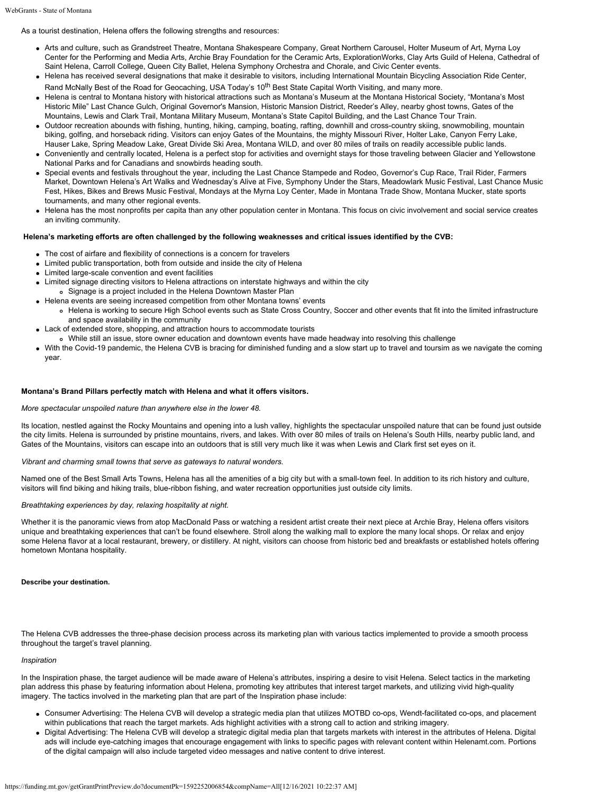As a tourist destination, Helena offers the following strengths and resources:

- Arts and culture, such as Grandstreet Theatre, Montana Shakespeare Company, Great Northern Carousel, Holter Museum of Art, Myrna Loy Center for the Performing and Media Arts, Archie Bray Foundation for the Ceramic Arts, ExplorationWorks, Clay Arts Guild of Helena, Cathedral of Saint Helena, Carroll College, Queen City Ballet, Helena Symphony Orchestra and Chorale, and Civic Center events.
- Helena has received several designations that make it desirable to visitors, including International Mountain Bicycling Association Ride Center, Rand McNally Best of the Road for Geocaching, USA Today's 10<sup>th</sup> Best State Capital Worth Visiting, and many more.
- Helena is central to Montana history with historical attractions such as Montana's Museum at the Montana Historical Society, "Montana's Most Historic Mile" Last Chance Gulch, Original Governor's Mansion, Historic Mansion District, Reeder's Alley, nearby ghost towns, Gates of the Mountains, Lewis and Clark Trail, Montana Military Museum, Montana's State Capitol Building, and the Last Chance Tour Train.
- Outdoor recreation abounds with fishing, hunting, hiking, camping, boating, rafting, downhill and cross-country skiing, snowmobiling, mountain biking, golfing, and horseback riding. Visitors can enjoy Gates of the Mountains, the mighty Missouri River, Holter Lake, Canyon Ferry Lake, Hauser Lake, Spring Meadow Lake, Great Divide Ski Area, Montana WILD, and over 80 miles of trails on readily accessible public lands.
- Conveniently and centrally located, Helena is a perfect stop for activities and overnight stays for those traveling between Glacier and Yellowstone National Parks and for Canadians and snowbirds heading south.
- Special events and festivals throughout the year, including the Last Chance Stampede and Rodeo, Governor's Cup Race, Trail Rider, Farmers Market, Downtown Helena's Art Walks and Wednesday's Alive at Five, Symphony Under the Stars, Meadowlark Music Festival, Last Chance Music Fest, Hikes, Bikes and Brews Music Festival, Mondays at the Myrna Loy Center, Made in Montana Trade Show, Montana Mucker, state sports tournaments, and many other regional events.
- Helena has the most nonprofits per capita than any other population center in Montana. This focus on civic involvement and social service creates an inviting community.

#### **Helena's marketing efforts are often challenged by the following weaknesses and critical issues identified by the CVB:**

- The cost of airfare and flexibility of connections is a concern for travelers
- Limited public transportation, both from outside and inside the city of Helena
- Limited large-scale convention and event facilities
- Limited signage directing visitors to Helena attractions on interstate highways and within the city Signage is a project included in the Helena Downtown Master Plan
- Helena events are seeing increased competition from other Montana towns' events
- Helena is working to secure High School events such as State Cross Country, Soccer and other events that fit into the limited infrastructure and space availability in the community
- Lack of extended store, shopping, and attraction hours to accommodate tourists
- While still an issue, store owner education and downtown events have made headway into resolving this challenge
- With the Covid-19 pandemic, the Helena CVB is bracing for diminished funding and a slow start up to travel and toursim as we navigate the coming year.

#### **Montana's Brand Pillars perfectly match with Helena and what it offers visitors.**

#### *More spectacular unspoiled nature than anywhere else in the lower 48.*

Its location, nestled against the Rocky Mountains and opening into a lush valley, highlights the spectacular unspoiled nature that can be found just outside the city limits. Helena is surrounded by pristine mountains, rivers, and lakes. With over 80 miles of trails on Helena's South Hills, nearby public land, and Gates of the Mountains, visitors can escape into an outdoors that is still very much like it was when Lewis and Clark first set eyes on it.

#### *Vibrant and charming small towns that serve as gateways to natural wonders.*

Named one of the Best Small Arts Towns, Helena has all the amenities of a big city but with a small-town feel. In addition to its rich history and culture, visitors will find biking and hiking trails, blue-ribbon fishing, and water recreation opportunities just outside city limits.

#### *Breathtaking experiences by day, relaxing hospitality at night.*

Whether it is the panoramic views from atop MacDonald Pass or watching a resident artist create their next piece at Archie Bray, Helena offers visitors unique and breathtaking experiences that can't be found elsewhere. Stroll along the walking mall to explore the many local shops. Or relax and enjoy some Helena flavor at a local restaurant, brewery, or distillery. At night, visitors can choose from historic bed and breakfasts or established hotels offering hometown Montana hospitality.

#### **Describe your destination.**

The Helena CVB addresses the three-phase decision process across its marketing plan with various tactics implemented to provide a smooth process throughout the target's travel planning.

#### *Inspiration*

In the Inspiration phase, the target audience will be made aware of Helena's attributes, inspiring a desire to visit Helena. Select tactics in the marketing plan address this phase by featuring information about Helena, promoting key attributes that interest target markets, and utilizing vivid high-quality imagery. The tactics involved in the marketing plan that are part of the Inspiration phase include:

- Consumer Advertising: The Helena CVB will develop a strategic media plan that utilizes MOTBD co-ops, Wendt-facilitated co-ops, and placement within publications that reach the target markets. Ads highlight activities with a strong call to action and striking imagery.
- Digital Advertising: The Helena CVB will develop a strategic digital media plan that targets markets with interest in the attributes of Helena. Digital ads will include eye-catching images that encourage engagement with links to specific pages with relevant content within Helenamt.com. Portions of the digital campaign will also include targeted video messages and native content to drive interest.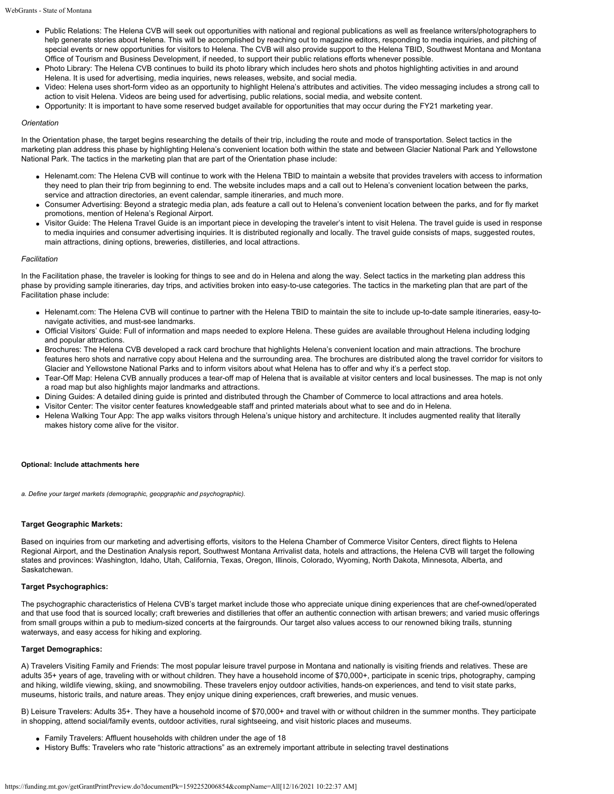- Public Relations: The Helena CVB will seek out opportunities with national and regional publications as well as freelance writers/photographers to help generate stories about Helena. This will be accomplished by reaching out to magazine editors, responding to media inquiries, and pitching of special events or new opportunities for visitors to Helena. The CVB will also provide support to the Helena TBID, Southwest Montana and Montana Office of Tourism and Business Development, if needed, to support their public relations efforts whenever possible.
- Photo Library: The Helena CVB continues to build its photo library which includes hero shots and photos highlighting activities in and around Helena. It is used for advertising, media inquiries, news releases, website, and social media.
- Video: Helena uses short-form video as an opportunity to highlight Helena's attributes and activities. The video messaging includes a strong call to action to visit Helena. Videos are being used for advertising, public relations, social media, and website content.
- Opportunity: It is important to have some reserved budget available for opportunities that may occur during the FY21 marketing year.

#### *Orientation*

In the Orientation phase, the target begins researching the details of their trip, including the route and mode of transportation. Select tactics in the marketing plan address this phase by highlighting Helena's convenient location both within the state and between Glacier National Park and Yellowstone National Park. The tactics in the marketing plan that are part of the Orientation phase include:

- Helenamt.com: The Helena CVB will continue to work with the Helena TBID to maintain a website that provides travelers with access to information they need to plan their trip from beginning to end. The website includes maps and a call out to Helena's convenient location between the parks, service and attraction directories, an event calendar, sample itineraries, and much more.
- Consumer Advertising: Beyond a strategic media plan, ads feature a call out to Helena's convenient location between the parks, and for fly market promotions, mention of Helena's Regional Airport.
- Visitor Guide: The Helena Travel Guide is an important piece in developing the traveler's intent to visit Helena. The travel guide is used in response to media inquiries and consumer advertising inquiries. It is distributed regionally and locally. The travel guide consists of maps, suggested routes, main attractions, dining options, breweries, distilleries, and local attractions.

#### *Facilitation*

In the Facilitation phase, the traveler is looking for things to see and do in Helena and along the way. Select tactics in the marketing plan address this phase by providing sample itineraries, day trips, and activities broken into easy-to-use categories. The tactics in the marketing plan that are part of the Facilitation phase include:

- Helenamt.com: The Helena CVB will continue to partner with the Helena TBID to maintain the site to include up-to-date sample itineraries, easy-tonavigate activities, and must-see landmarks.
- Official Visitors' Guide: Full of information and maps needed to explore Helena. These guides are available throughout Helena including lodging and popular attractions.
- Brochures: The Helena CVB developed a rack card brochure that highlights Helena's convenient location and main attractions. The brochure features hero shots and narrative copy about Helena and the surrounding area. The brochures are distributed along the travel corridor for visitors to Glacier and Yellowstone National Parks and to inform visitors about what Helena has to offer and why it's a perfect stop.
- Tear-Off Map: Helena CVB annually produces a tear-off map of Helena that is available at visitor centers and local businesses. The map is not only a road map but also highlights major landmarks and attractions.
- Dining Guides: A detailed dining guide is printed and distributed through the Chamber of Commerce to local attractions and area hotels.
- Visitor Center: The visitor center features knowledgeable staff and printed materials about what to see and do in Helena.
- Helena Walking Tour App: The app walks visitors through Helena's unique history and architecture. It includes augmented reality that literally makes history come alive for the visitor.

#### **Optional: Include attachments here**

*a. Define your target markets (demographic, geopgraphic and psychographic).*

#### **Target Geographic Markets:**

Based on inquiries from our marketing and advertising efforts, visitors to the Helena Chamber of Commerce Visitor Centers, direct flights to Helena Regional Airport, and the Destination Analysis report, Southwest Montana Arrivalist data, hotels and attractions, the Helena CVB will target the following states and provinces: Washington, Idaho, Utah, California, Texas, Oregon, Illinois, Colorado, Wyoming, North Dakota, Minnesota, Alberta, and Saskatchewan.

#### **Target Psychographics:**

The psychographic characteristics of Helena CVB's target market include those who appreciate unique dining experiences that are chef-owned/operated and that use food that is sourced locally; craft breweries and distilleries that offer an authentic connection with artisan brewers; and varied music offerings from small groups within a pub to medium-sized concerts at the fairgrounds. Our target also values access to our renowned biking trails, stunning waterways, and easy access for hiking and exploring.

#### **Target Demographics:**

A) Travelers Visiting Family and Friends: The most popular leisure travel purpose in Montana and nationally is visiting friends and relatives. These are adults 35+ years of age, traveling with or without children. They have a household income of \$70,000+, participate in scenic trips, photography, camping and hiking, wildlife viewing, skiing, and snowmobiling. These travelers enjoy outdoor activities, hands-on experiences, and tend to visit state parks, museums, historic trails, and nature areas. They enjoy unique dining experiences, craft breweries, and music venues.

B) Leisure Travelers: Adults 35+. They have a household income of \$70,000+ and travel with or without children in the summer months. They participate in shopping, attend social/family events, outdoor activities, rural sightseeing, and visit historic places and museums.

- Family Travelers: Affluent households with children under the age of 18
- History Buffs: Travelers who rate "historic attractions" as an extremely important attribute in selecting travel destinations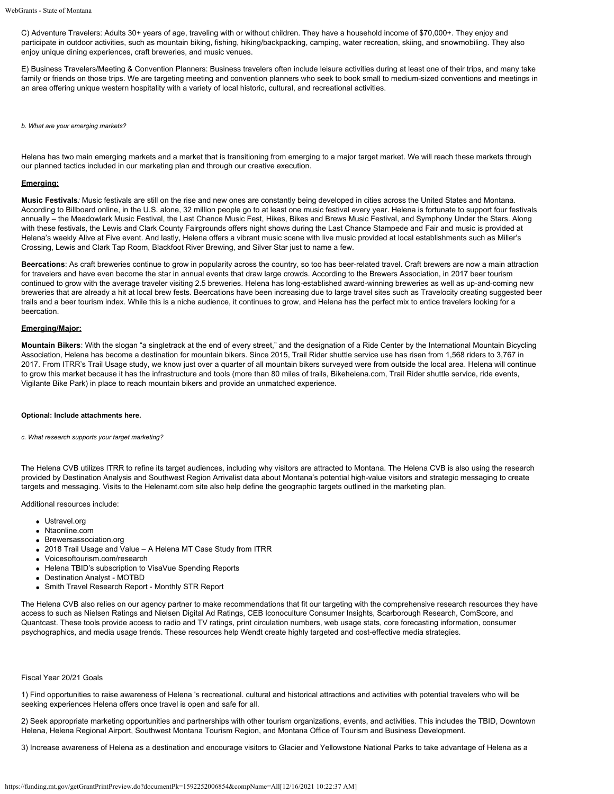C) Adventure Travelers: Adults 30+ years of age, traveling with or without children. They have a household income of \$70,000+. They enjoy and participate in outdoor activities, such as mountain biking, fishing, hiking/backpacking, camping, water recreation, skiing, and snowmobiling. They also enjoy unique dining experiences, craft breweries, and music venues.

E) Business Travelers/Meeting & Convention Planners: Business travelers often include leisure activities during at least one of their trips, and many take family or friends on those trips. We are targeting meeting and convention planners who seek to book small to medium-sized conventions and meetings in an area offering unique western hospitality with a variety of local historic, cultural, and recreational activities.

*b. What are your emerging markets?*

Helena has two main emerging markets and a market that is transitioning from emerging to a major target market. We will reach these markets through our planned tactics included in our marketing plan and through our creative execution.

#### **Emerging:**

**Music Festivals***:* Music festivals are still on the rise and new ones are constantly being developed in cities across the United States and Montana. According to Billboard online, in the U.S. alone, 32 million people go to at least one music festival every year. Helena is fortunate to support four festivals annually – the Meadowlark Music Festival, the Last Chance Music Fest, Hikes, Bikes and Brews Music Festival, and Symphony Under the Stars. Along with these festivals, the Lewis and Clark County Fairgrounds offers night shows during the Last Chance Stampede and Fair and music is provided at Helena's weekly Alive at Five event. And lastly, Helena offers a vibrant music scene with live music provided at local establishments such as Miller's Crossing, Lewis and Clark Tap Room, Blackfoot River Brewing, and Silver Star just to name a few.

**Beercations**: As craft breweries continue to grow in popularity across the country, so too has beer-related travel. Craft brewers are now a main attraction for travelers and have even become the star in annual events that draw large crowds. According to the Brewers Association, in 2017 beer tourism continued to grow with the average traveler visiting 2.5 breweries. Helena has long-established award-winning breweries as well as up-and-coming new breweries that are already a hit at local brew fests. Beercations have been increasing due to large travel sites such as Travelocity creating suggested beer trails and a beer tourism index. While this is a niche audience, it continues to grow, and Helena has the perfect mix to entice travelers looking for a beercation.

#### **Emerging/Major:**

**Mountain Bikers**: With the slogan "a singletrack at the end of every street," and the designation of a Ride Center by the International Mountain Bicycling Association, Helena has become a destination for mountain bikers. Since 2015, Trail Rider shuttle service use has risen from 1,568 riders to 3,767 in 2017. From ITRR's Trail Usage study, we know just over a quarter of all mountain bikers surveyed were from outside the local area. Helena will continue to grow this market because it has the infrastructure and tools (more than 80 miles of trails, Bikehelena.com, Trail Rider shuttle service, ride events, Vigilante Bike Park) in place to reach mountain bikers and provide an unmatched experience.

#### **Optional: Include attachments here.**

*c. What research supports your target marketing?*

The Helena CVB utilizes ITRR to refine its target audiences, including why visitors are attracted to Montana. The Helena CVB is also using the research provided by Destination Analysis and Southwest Region Arrivalist data about Montana's potential high-value visitors and strategic messaging to create targets and messaging. Visits to the Helenamt.com site also help define the geographic targets outlined in the marketing plan.

Additional resources include:

- Ustravel.org
- Ntaonline.com
- Brewersassociation.org
- 2018 Trail Usage and Value A Helena MT Case Study from ITRR
- Voicesoftourism.com/research
- Helena TBID's subscription to VisaVue Spending Reports
- Destination Analyst MOTBD
- Smith Travel Research Report Monthly STR Report

The Helena CVB also relies on our agency partner to make recommendations that fit our targeting with the comprehensive research resources they have access to such as Nielsen Ratings and Nielsen Digital Ad Ratings, CEB Iconoculture Consumer Insights, Scarborough Research, ComScore, and Quantcast. These tools provide access to radio and TV ratings, print circulation numbers, web usage stats, core forecasting information, consumer psychographics, and media usage trends. These resources help Wendt create highly targeted and cost-effective media strategies.

#### Fiscal Year 20/21 Goals

1) Find opportunities to raise awareness of Helena 's recreational. cultural and historical attractions and activities with potential travelers who will be seeking experiences Helena offers once travel is open and safe for all.

2) Seek appropriate marketing opportunities and partnerships with other tourism organizations, events, and activities. This includes the TBID, Downtown Helena, Helena Regional Airport, Southwest Montana Tourism Region, and Montana Office of Tourism and Business Development.

3) Increase awareness of Helena as a destination and encourage visitors to Glacier and Yellowstone National Parks to take advantage of Helena as a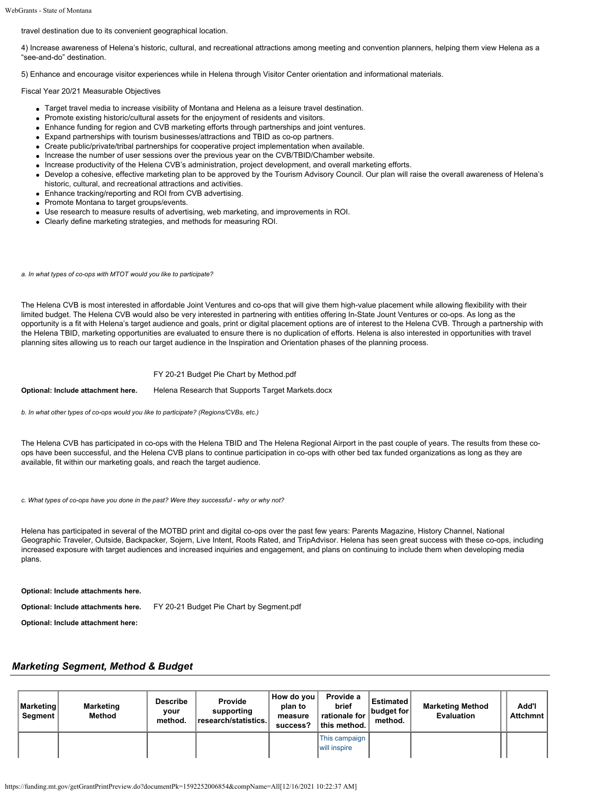travel destination due to its convenient geographical location.

4) Increase awareness of Helena's historic, cultural, and recreational attractions among meeting and convention planners, helping them view Helena as a "see-and-do" destination.

5) Enhance and encourage visitor experiences while in Helena through Visitor Center orientation and informational materials.

Fiscal Year 20/21 Measurable Objectives

- Target travel media to increase visibility of Montana and Helena as a leisure travel destination.
- Promote existing historic/cultural assets for the enjoyment of residents and visitors.
- Enhance funding for region and CVB marketing efforts through partnerships and joint ventures.
- Expand partnerships with tourism businesses/attractions and TBID as co-op partners.
- Create public/private/tribal partnerships for cooperative project implementation when available.
- Increase the number of user sessions over the previous year on the CVB/TBID/Chamber website.
- Increase productivity of the Helena CVB's administration, project development, and overall marketing efforts.
- Develop a cohesive, effective marketing plan to be approved by the Tourism Advisory Council. Our plan will raise the overall awareness of Helena's historic, cultural, and recreational attractions and activities.
- Enhance tracking/reporting and ROI from CVB advertising.
- Promote Montana to target groups/events.
- Use research to measure results of advertising, web marketing, and improvements in ROI.
- Clearly define marketing strategies, and methods for measuring ROI.

*a. In what types of co-ops with MTOT would you like to participate?*

The Helena CVB is most interested in affordable Joint Ventures and co-ops that will give them high-value placement while allowing flexibility with their limited budget. The Helena CVB would also be very interested in partnering with entities offering In-State Jount Ventures or co-ops. As long as the opportunity is a fit with Helena's target audience and goals, print or digital placement options are of interest to the Helena CVB. Through a partnership with the Helena TBID, marketing opportunities are evaluated to ensure there is no duplication of efforts. Helena is also interested in opportunities with travel planning sites allowing us to reach our target audience in the Inspiration and Orientation phases of the planning process.

#### [FY 20-21 Budget Pie Chart by Method.pdf](https://funding.mt.gov/fileDownload.jsp?filename=1589911369272_FY+20-21+Budget+Pie+Chart+by+Method.pdf)

**Optional: Include attachment here.** [Helena Research that Supports Target Markets.docx](https://funding.mt.gov/fileDownload.jsp?filename=1587500445900_Helena+Research+that+Supports+Target+Markets.docx)

*b. In what other types of co-ops would you like to participate? (Regions/CVBs, etc.)*

The Helena CVB has participated in co-ops with the Helena TBID and The Helena Regional Airport in the past couple of years. The results from these coops have been successful, and the Helena CVB plans to continue participation in co-ops with other bed tax funded organizations as long as they are available, fit within our marketing goals, and reach the target audience.

*c. What types of co-ops have you done in the past? Were they successful - why or why not?*

Helena has participated in several of the MOTBD print and digital co-ops over the past few years: Parents Magazine, History Channel, National Geographic Traveler, Outside, Backpacker*,* Sojern, Live Intent, Roots Rated, and TripAdvisor. Helena has seen great success with these co-ops, including increased exposure with target audiences and increased inquiries and engagement, and plans on continuing to include them when developing media plans.

**Optional: Include attachments here.**

**Optional: Include attachments here.** [FY 20-21 Budget Pie Chart by Segment.pdf](https://funding.mt.gov/fileDownload.jsp?filename=1588287578140_FY+20-21+Budget+Pie+Chart+by+Segment.pdf)

**Optional: Include attachment here:**

### *Marketing Segment, Method & Budget*

| Marketing<br>Segment | <b>Marketing</b><br>Method | <b>Describe</b><br>vour<br>method. | <b>Provide</b><br>supporting<br>research/statistics. | How do you<br>plan to<br>measure<br>success? | Provide a<br>brief<br>rationale for<br>∣ this method. | Estimated<br>∣budget for ∣<br>method. | <b>Marketing Method</b><br><b>Evaluation</b> | Add'l<br>Attchmnt |
|----------------------|----------------------------|------------------------------------|------------------------------------------------------|----------------------------------------------|-------------------------------------------------------|---------------------------------------|----------------------------------------------|-------------------|
|                      |                            |                                    |                                                      |                                              | This campaign  <br>will inspire                       |                                       |                                              |                   |

https://funding.mt.gov/getGrantPrintPreview.do?documentPk=1592252006854&compName=All[12/16/2021 10:22:37 AM]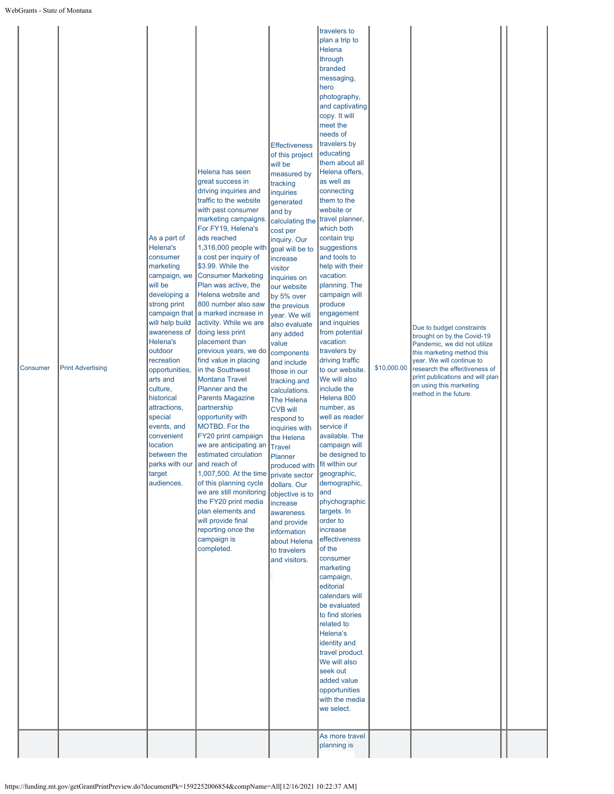| Consumer | <b>Print Advertising</b> | As a part of<br>Helena's<br>consumer<br>marketing<br>campaign, we<br>will be<br>developing a<br>strong print<br>campaign that<br>will help build<br>awareness of<br>Helena's<br>outdoor<br>recreation<br>opportunities,<br>arts and<br>culture,<br>historical<br>attractions,<br>special<br>events, and<br>convenient<br>location<br>between the<br>parks with our and reach of<br>target<br>audiences. | Helena has seen<br>great success in<br>driving inquiries and<br>traffic to the website<br>with past consumer<br>marketing campaigns<br>For FY19, Helena's<br>ads reached<br>1,316,000 people with<br>a cost per inquiry of<br>\$3.99. While the<br><b>Consumer Marketing</b><br>Plan was active, the<br>Helena website and<br>800 number also saw<br>a marked increase in<br>activity. While we are<br>doing less print<br>placement than<br>previous years, we do<br>find value in placing<br>in the Southwest<br><b>Montana Travel</b><br>Planner and the<br><b>Parents Magazine</b><br>partnership<br>opportunity with<br>MOTBD. For the<br>FY20 print campaign<br>we are anticipating an<br>estimated circulation<br>1,007,500. At the time private sector<br>of this planning cycle<br>we are still monitoring<br>the FY20 print media<br>plan elements and<br>will provide final<br>reporting once the<br>campaign is<br>completed. | <b>Effectiveness</b><br>of this project<br>will be<br>measured by<br>tracking<br>inquiries<br>generated<br>and by<br>calculating the<br>cost per<br>inquiry. Our<br>goal will be to<br>increase<br>visitor<br>inquiries on<br>our website<br>by 5% over<br>the previous<br>year. We will<br>also evaluate<br>any added<br>value<br>components<br>and include<br>those in our<br>tracking and<br>calculations.<br>The Helena<br><b>CVB will</b><br>respond to<br>inquiries with<br>the Helena<br><b>Travel</b><br>Planner<br>produced with<br>dollars. Our<br>objective is to<br>increase<br>awareness<br>and provide<br>information<br>about Helena<br>to travelers<br>and visitors. | travelers to<br>plan a trip to<br>Helena<br>through<br>branded<br>messaging,<br>hero<br>photography,<br>and captivating<br>copy. It will<br>meet the<br>needs of<br>travelers by<br>educating<br>them about all<br>Helena offers,<br>as well as<br>connecting<br>them to the<br>website or<br>travel planner,<br>which both<br>contain trip<br>suggestions<br>and tools to<br>help with their<br>vacation<br>planning. The<br>campaign will<br>produce<br>engagement<br>and inquiries<br>from potential<br>vacation<br>travelers by<br>driving traffic<br>to our website.<br>We will also<br>include the<br>Helena 800<br>number, as<br>well as reader<br>service if<br>available. The<br>campaign will<br>be designed to<br>fit within our<br>geographic,<br>demographic,<br>and<br>phychographic<br>targets. In<br>order to<br>increase<br>effectiveness<br>of the<br>consumer<br>marketing<br>campaign,<br>editorial<br>calendars will<br>be evaluated<br>to find stories<br>related to<br>Helena's<br>identity and<br>travel product.<br>We will also<br>seek out<br>added value<br>opportunities<br>with the media<br>we select.<br>As more travel<br>planning is | \$10,000.00 | Due to budget constraints<br>brought on by the Covid-19<br>Pandemic, we did not utilize<br>this marketing method this<br>year. We will continue to<br>research the effectiveness of<br>print publications and will plan<br>on using this marketing<br>method in the future. |  |
|----------|--------------------------|---------------------------------------------------------------------------------------------------------------------------------------------------------------------------------------------------------------------------------------------------------------------------------------------------------------------------------------------------------------------------------------------------------|-------------------------------------------------------------------------------------------------------------------------------------------------------------------------------------------------------------------------------------------------------------------------------------------------------------------------------------------------------------------------------------------------------------------------------------------------------------------------------------------------------------------------------------------------------------------------------------------------------------------------------------------------------------------------------------------------------------------------------------------------------------------------------------------------------------------------------------------------------------------------------------------------------------------------------------------|--------------------------------------------------------------------------------------------------------------------------------------------------------------------------------------------------------------------------------------------------------------------------------------------------------------------------------------------------------------------------------------------------------------------------------------------------------------------------------------------------------------------------------------------------------------------------------------------------------------------------------------------------------------------------------------|------------------------------------------------------------------------------------------------------------------------------------------------------------------------------------------------------------------------------------------------------------------------------------------------------------------------------------------------------------------------------------------------------------------------------------------------------------------------------------------------------------------------------------------------------------------------------------------------------------------------------------------------------------------------------------------------------------------------------------------------------------------------------------------------------------------------------------------------------------------------------------------------------------------------------------------------------------------------------------------------------------------------------------------------------------------------------------------------------------------------------------------------------------------------|-------------|-----------------------------------------------------------------------------------------------------------------------------------------------------------------------------------------------------------------------------------------------------------------------------|--|
|----------|--------------------------|---------------------------------------------------------------------------------------------------------------------------------------------------------------------------------------------------------------------------------------------------------------------------------------------------------------------------------------------------------------------------------------------------------|-------------------------------------------------------------------------------------------------------------------------------------------------------------------------------------------------------------------------------------------------------------------------------------------------------------------------------------------------------------------------------------------------------------------------------------------------------------------------------------------------------------------------------------------------------------------------------------------------------------------------------------------------------------------------------------------------------------------------------------------------------------------------------------------------------------------------------------------------------------------------------------------------------------------------------------------|--------------------------------------------------------------------------------------------------------------------------------------------------------------------------------------------------------------------------------------------------------------------------------------------------------------------------------------------------------------------------------------------------------------------------------------------------------------------------------------------------------------------------------------------------------------------------------------------------------------------------------------------------------------------------------------|------------------------------------------------------------------------------------------------------------------------------------------------------------------------------------------------------------------------------------------------------------------------------------------------------------------------------------------------------------------------------------------------------------------------------------------------------------------------------------------------------------------------------------------------------------------------------------------------------------------------------------------------------------------------------------------------------------------------------------------------------------------------------------------------------------------------------------------------------------------------------------------------------------------------------------------------------------------------------------------------------------------------------------------------------------------------------------------------------------------------------------------------------------------------|-------------|-----------------------------------------------------------------------------------------------------------------------------------------------------------------------------------------------------------------------------------------------------------------------------|--|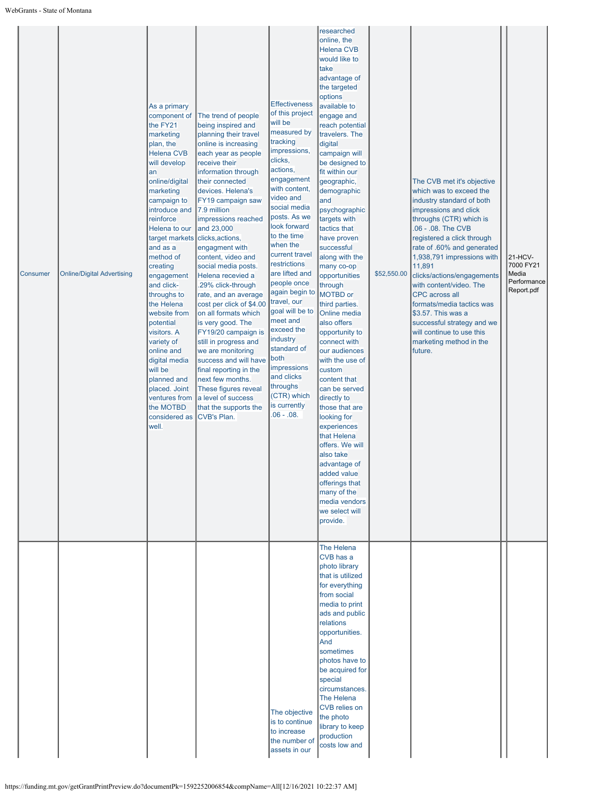| Consumer | <b>Online/Digital Advertising</b> | As a primary<br>component of<br>the FY21<br>marketing<br>plan, the<br><b>Helena CVB</b><br>will develop<br>an<br>online/digital<br>marketing<br>campaign to<br>introduce and<br>reinforce<br>Helena to our<br>target markets<br>and as a<br>method of<br>creating<br>engagement<br>and click-<br>throughs to<br>the Helena<br>website from<br>potential<br>visitors. A<br>variety of<br>online and<br>digital media<br>will be<br>planned and<br>placed. Joint<br>ventures from<br>the MOTBD<br>considered as<br>well. | The trend of people<br>being inspired and<br>planning their travel<br>online is increasing<br>each year as people<br>receive their<br>information through<br>their connected<br>devices. Helena's<br>FY19 campaign saw<br>7.9 million<br>impressions reached<br>and 23,000<br>clicks, actions,<br>engagment with<br>content, video and<br>social media posts.<br>Helena recevied a<br>.29% click-through<br>rate, and an average<br>cost per click of \$4.00<br>on all formats which<br>is very good. The<br>FY19/20 campaign is<br>still in progress and<br>we are monitoring<br>success and will have<br>final reporting in the<br>next few months.<br>These figures reveal<br>a level of success<br>that the supports the<br><b>CVB's Plan.</b> | <b>Effectiveness</b><br>of this project<br>will be<br>measured by<br>tracking<br>impressions,<br>clicks,<br>actions,<br>engagement<br>with content,<br>video and<br>social media<br>posts. As we<br>look forward<br>to the time<br>when the<br>current travel<br>restrictions<br>are lifted and<br>people once<br>again begin to<br>travel, our<br>goal will be to<br>meet and<br>exceed the<br>industry<br>standard of<br>both<br>impressions<br>and clicks<br>throughs<br>(CTR) which<br>is currently<br>$.06 - .08$ . | researched<br>online, the<br><b>Helena CVB</b><br>would like to<br>take<br>advantage of<br>the targeted<br>options<br>available to<br>engage and<br>reach potential<br>travelers. The<br>digital<br>campaign will<br>be designed to<br>fit within our<br>geographic,<br>demographic<br>and<br>psychographic<br>targets with<br>tactics that<br>have proven<br>successful<br>along with the<br>many co-op<br>opportunities<br>through<br>MOTBD or<br>third parties.<br><b>Online media</b><br>also offers<br>opportunity to<br>connect with<br>our audiences<br>with the use of<br>custom<br>content that<br>can be served<br>directly to<br>those that are<br>looking for<br>experiences<br>that Helena<br>offers. We will<br>also take<br>advantage of<br>added value<br>offerings that<br>many of the<br>media vendors<br>we select will<br>provide. | \$52,550.00 | The CVB met it's objective<br>which was to exceed the<br>industry standard of both<br>impressions and click<br>throughs (CTR) which is<br>.06 - .08. The CVB<br>registered a click through<br>rate of .60% and generated<br>1,938,791 impressions with<br>11,891<br>clicks/actions/engagements<br>with content/video. The<br><b>CPC</b> across all<br>formats/media tactics was<br>\$3.57. This was a<br>successful strategy and we<br>will continue to use this<br>marketing method in the<br>future. | 21-HCV-<br>7000 FY21<br>Media<br>Performance<br>Report.pdf |  |
|----------|-----------------------------------|------------------------------------------------------------------------------------------------------------------------------------------------------------------------------------------------------------------------------------------------------------------------------------------------------------------------------------------------------------------------------------------------------------------------------------------------------------------------------------------------------------------------|----------------------------------------------------------------------------------------------------------------------------------------------------------------------------------------------------------------------------------------------------------------------------------------------------------------------------------------------------------------------------------------------------------------------------------------------------------------------------------------------------------------------------------------------------------------------------------------------------------------------------------------------------------------------------------------------------------------------------------------------------|--------------------------------------------------------------------------------------------------------------------------------------------------------------------------------------------------------------------------------------------------------------------------------------------------------------------------------------------------------------------------------------------------------------------------------------------------------------------------------------------------------------------------|--------------------------------------------------------------------------------------------------------------------------------------------------------------------------------------------------------------------------------------------------------------------------------------------------------------------------------------------------------------------------------------------------------------------------------------------------------------------------------------------------------------------------------------------------------------------------------------------------------------------------------------------------------------------------------------------------------------------------------------------------------------------------------------------------------------------------------------------------------|-------------|--------------------------------------------------------------------------------------------------------------------------------------------------------------------------------------------------------------------------------------------------------------------------------------------------------------------------------------------------------------------------------------------------------------------------------------------------------------------------------------------------------|------------------------------------------------------------|--|
|          |                                   |                                                                                                                                                                                                                                                                                                                                                                                                                                                                                                                        |                                                                                                                                                                                                                                                                                                                                                                                                                                                                                                                                                                                                                                                                                                                                                    | The objective<br>is to continue<br>to increase<br>the number of<br>assets in our                                                                                                                                                                                                                                                                                                                                                                                                                                         | The Helena<br>CVB has a<br>photo library<br>that is utilized<br>for everything<br>from social<br>media to print<br>ads and public<br>relations<br>opportunities.<br>And<br>sometimes<br>photos have to<br>be acquired for<br>special<br>circumstances.<br>The Helena<br><b>CVB</b> relies on<br>the photo<br>library to keep<br>production<br>costs low and                                                                                                                                                                                                                                                                                                                                                                                                                                                                                            |             |                                                                                                                                                                                                                                                                                                                                                                                                                                                                                                        |                                                            |  |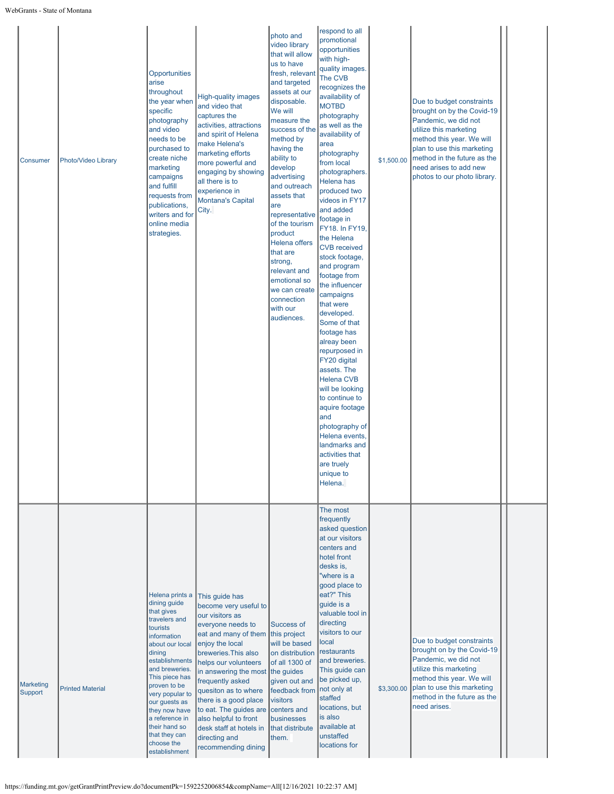| Consumer             | Photo/Video Library     | Opportunities<br>arise<br>throughout<br>the year when<br>specific<br>photography<br>and video<br>needs to be<br>purchased to<br>create niche<br>marketing<br>campaigns<br>and fulfill<br>requests from<br>publications,<br>writers and for<br>online media<br>strategies.                                                            | <b>High-quality images</b><br>and video that<br>captures the<br>activities, attractions<br>and spirit of Helena<br>make Helena's<br>marketing efforts<br>more powerful and<br>engaging by showing<br>all there is to<br>experience in<br><b>Montana's Capital</b><br>City.                                                                                                                                             | photo and<br>video library<br>that will allow<br>us to have<br>fresh, relevant<br>and targeted<br>assets at our<br>disposable.<br>We will<br>measure the<br>success of the<br>method by<br>having the<br>ability to<br>develop<br>advertising<br>and outreach<br>assets that<br>are<br>representative<br>of the tourism<br>product<br><b>Helena offers</b><br>that are<br>strong,<br>relevant and<br>emotional so<br>we can create<br>connection<br>with our<br>audiences. | respond to all<br>promotional<br>opportunities<br>with high-<br>quality images.<br>The CVB<br>recognizes the<br>availability of<br><b>MOTBD</b><br>photography<br>as well as the<br>availability of<br>area<br>photography<br>from local<br>photographers.<br>Helena has<br>produced two<br>videos in FY17<br>and added<br>footage in<br>FY18. In FY19,<br>the Helena<br><b>CVB</b> received<br>stock footage,<br>and program<br>footage from<br>the influencer<br>campaigns<br>that were<br>developed.<br>Some of that<br>footage has<br>alreay been<br>repurposed in<br>FY20 digital<br>assets. The<br><b>Helena CVB</b><br>will be looking<br>to continue to<br>aquire footage<br>and<br>photography of<br>Helena events,<br>landmarks and<br>activities that<br>are truely<br>unique to<br>Helena. | \$1,500.00 | Due to budget constraints<br>brought on by the Covid-19<br>Pandemic, we did not<br>utilize this marketing<br>method this year. We will<br>plan to use this marketing<br>method in the future as the<br>need arises to add new<br>photos to our photo library. |  |
|----------------------|-------------------------|--------------------------------------------------------------------------------------------------------------------------------------------------------------------------------------------------------------------------------------------------------------------------------------------------------------------------------------|------------------------------------------------------------------------------------------------------------------------------------------------------------------------------------------------------------------------------------------------------------------------------------------------------------------------------------------------------------------------------------------------------------------------|----------------------------------------------------------------------------------------------------------------------------------------------------------------------------------------------------------------------------------------------------------------------------------------------------------------------------------------------------------------------------------------------------------------------------------------------------------------------------|--------------------------------------------------------------------------------------------------------------------------------------------------------------------------------------------------------------------------------------------------------------------------------------------------------------------------------------------------------------------------------------------------------------------------------------------------------------------------------------------------------------------------------------------------------------------------------------------------------------------------------------------------------------------------------------------------------------------------------------------------------------------------------------------------------|------------|---------------------------------------------------------------------------------------------------------------------------------------------------------------------------------------------------------------------------------------------------------------|--|
| Marketing<br>Support | <b>Printed Material</b> | Helena prints a<br>dining guide<br>that gives<br>travelers and<br>tourists<br>information<br>about our local<br>dining<br>establishments<br>and breweries.<br>This piece has<br>proven to be<br>very popular to<br>our guests as<br>they now have<br>a reference in<br>their hand so<br>that they can<br>choose the<br>establishment | This quide has<br>become very useful to<br>our visitors as<br>everyone needs to<br>eat and many of them this project<br>enjoy the local<br>breweries. This also<br>helps our volunteers<br>in answering the most the guides<br>frequently asked<br>quesiton as to where<br>there is a good place<br>to eat. The guides are<br>also helpful to front<br>desk staff at hotels in<br>directing and<br>recommending dining | Success of<br>will be based<br>on distribution<br>of all 1300 of<br>given out and<br>feedback from<br>visitors<br>centers and<br>businesses<br>that distribute<br>them.                                                                                                                                                                                                                                                                                                    | The most<br>frequently<br>asked question<br>at our visitors<br>centers and<br>hotel front<br>desks is,<br>"where is a<br>good place to<br>eat?" This<br>guide is a<br>valuable tool in<br>directing<br>visitors to our<br>local<br>restaurants<br>and breweries.<br>This guide can<br>be picked up,<br>not only at<br>staffed<br>locations, but<br>is also<br>available at<br>unstaffed<br>locations for                                                                                                                                                                                                                                                                                                                                                                                               | \$3,300.00 | Due to budget constraints<br>brought on by the Covid-19<br>Pandemic, we did not<br>utilize this marketing<br>method this year. We will<br>plan to use this marketing<br>method in the future as the<br>need arises.                                           |  |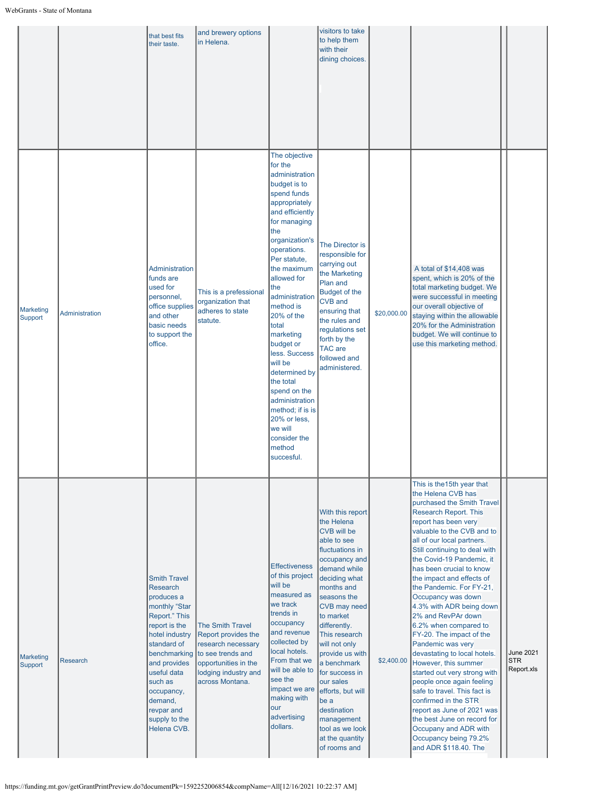|                             |                 | that best fits<br>their taste.                                                                                                                                                                                                                     | and brewery options<br>in Helena.                                                                                                                                         |                                                                                                                                                                                                                                                                                                                                                                                                                                                                                               | visitors to take<br>to help them<br>with their<br>dining choices.                                                                                                                                                                                                                                                                                                                                                                     |             |                                                                                                                                                                                                                                                                                                                                                                                                                                                                                                                                                                                                                                                                                                                                                                                                                       |                                              |
|-----------------------------|-----------------|----------------------------------------------------------------------------------------------------------------------------------------------------------------------------------------------------------------------------------------------------|---------------------------------------------------------------------------------------------------------------------------------------------------------------------------|-----------------------------------------------------------------------------------------------------------------------------------------------------------------------------------------------------------------------------------------------------------------------------------------------------------------------------------------------------------------------------------------------------------------------------------------------------------------------------------------------|---------------------------------------------------------------------------------------------------------------------------------------------------------------------------------------------------------------------------------------------------------------------------------------------------------------------------------------------------------------------------------------------------------------------------------------|-------------|-----------------------------------------------------------------------------------------------------------------------------------------------------------------------------------------------------------------------------------------------------------------------------------------------------------------------------------------------------------------------------------------------------------------------------------------------------------------------------------------------------------------------------------------------------------------------------------------------------------------------------------------------------------------------------------------------------------------------------------------------------------------------------------------------------------------------|----------------------------------------------|
| Marketing<br>Support        | Administration  | Administration<br>funds are<br>used for<br>personnel,<br>office supplies<br>and other<br>basic needs<br>to support the<br>office.                                                                                                                  | This is a prefessional<br>organization that<br>adheres to state<br>statute.                                                                                               | The objective<br>for the<br>administration<br>budget is to<br>spend funds<br>appropriately<br>and efficiently<br>for managing<br>the<br>organization's<br>operations.<br>Per statute,<br>the maximum<br>allowed for<br>the<br>administration<br>method is<br>20% of the<br>total<br>marketing<br>budget or<br>less. Success<br>will be<br>determined by<br>the total<br>spend on the<br>administration<br>method; if is is<br>20% or less,<br>we will<br>consider the<br>method<br>succesful. | The Director is<br>responsible for<br>carrying out<br>the Marketing<br>Plan and<br>Budget of the<br><b>CVB</b> and<br>ensuring that<br>the rules and<br>regulations set<br>forth by the<br><b>TAC</b> are<br>followed and<br>administered.                                                                                                                                                                                            | \$20,000.00 | A total of \$14,408 was<br>spent, which is 20% of the<br>total marketing budget. We<br>were successful in meeting<br>our overall objective of<br>staying within the allowable<br>20% for the Administration<br>budget. We will continue to<br>use this marketing method.                                                                                                                                                                                                                                                                                                                                                                                                                                                                                                                                              |                                              |
| <b>Marketing</b><br>Support | <b>Research</b> | <b>Smith Travel</b><br>Research<br>produces a<br>monthly "Star<br>Report." This<br>report is the<br>hotel industry<br>standard of<br>and provides<br>useful data<br>such as<br>occupancy,<br>demand,<br>revpar and<br>supply to the<br>Helena CVB. | <b>The Smith Travel</b><br>Report provides the<br>research necessary<br>benchmarking to see trends and<br>opportunities in the<br>lodging industry and<br>across Montana. | <b>Effectiveness</b><br>of this project<br>will be<br>measured as<br>we track<br>trends in<br>occupancy<br>and revenue<br>collected by<br>local hotels.<br>From that we<br>will be able to<br>see the<br>impact we are<br>making with<br>our<br>advertising<br>dollars.                                                                                                                                                                                                                       | With this report<br>the Helena<br>CVB will be<br>able to see<br>fluctuations in<br>occupancy and<br>demand while<br>deciding what<br>months and<br>seasons the<br><b>CVB may need</b><br>to market<br>differently.<br>This research<br>will not only<br>provide us with<br>a benchmark<br>for success in<br>our sales<br>efforts, but will<br>be a<br>destination<br>management<br>tool as we look<br>at the quantity<br>of rooms and | \$2,400.00  | This is the 15th year that<br>the Helena CVB has<br>purchased the Smith Travel<br>Research Report. This<br>report has been very<br>valuable to the CVB and to<br>all of our local partners.<br>Still continuing to deal with<br>the Covid-19 Pandemic, it<br>has been crucial to know<br>the impact and effects of<br>the Pandemic. For FY-21,<br>Occupancy was down<br>4.3% with ADR being down<br>2% and RevPAr down<br>6.2% when compared to<br>FY-20. The impact of the<br>Pandemic was very<br>devastating to local hotels.<br>However, this summer<br>started out very strong with<br>people once again feeling<br>safe to travel. This fact is<br>confirmed in the STR<br>report as June of 2021 was<br>the best June on record for<br>Occupany and ADR with<br>Occupancy being 79.2%<br>and ADR \$118.40. The | <b>June 2021</b><br><b>STR</b><br>Report.xls |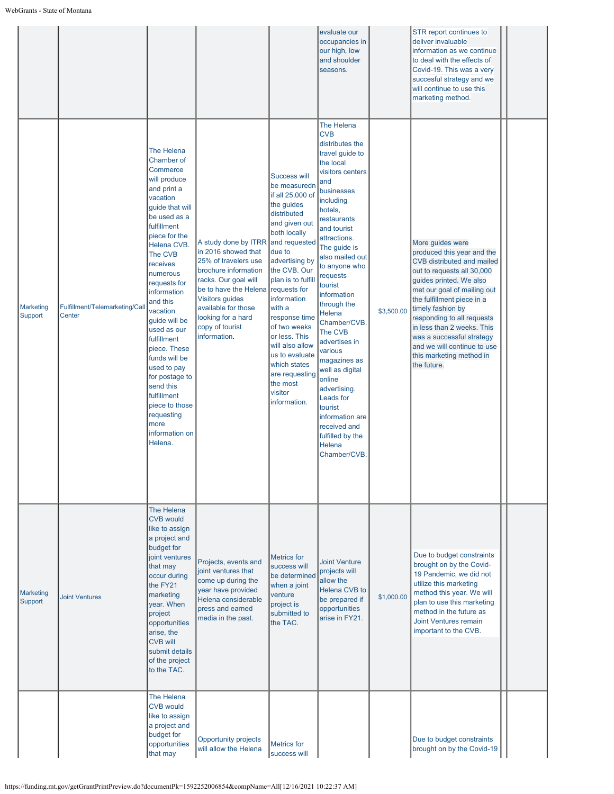|                      |                                          |                                                                                                                                                                                                                                                                                                                                                                                                                                                                               |                                                                                                                                                                                                                                                        |                                                                                                                                                                                                                                                                                                                                                                                                                   | evaluate our<br>occupancies in<br>our high, low<br>and shoulder<br>seasons.                                                                                                                                                                                                                                                                                                                                                                                                                                                                              |            | STR report continues to<br>deliver invaluable<br>information as we continue<br>to deal with the effects of<br>Covid-19. This was a very<br>succesful strategy and we<br>will continue to use this<br>marketing method.                                                                                                                                                                            |  |
|----------------------|------------------------------------------|-------------------------------------------------------------------------------------------------------------------------------------------------------------------------------------------------------------------------------------------------------------------------------------------------------------------------------------------------------------------------------------------------------------------------------------------------------------------------------|--------------------------------------------------------------------------------------------------------------------------------------------------------------------------------------------------------------------------------------------------------|-------------------------------------------------------------------------------------------------------------------------------------------------------------------------------------------------------------------------------------------------------------------------------------------------------------------------------------------------------------------------------------------------------------------|----------------------------------------------------------------------------------------------------------------------------------------------------------------------------------------------------------------------------------------------------------------------------------------------------------------------------------------------------------------------------------------------------------------------------------------------------------------------------------------------------------------------------------------------------------|------------|---------------------------------------------------------------------------------------------------------------------------------------------------------------------------------------------------------------------------------------------------------------------------------------------------------------------------------------------------------------------------------------------------|--|
| Marketing<br>Support | Fulfillment/Telemarketing/Call<br>Center | The Helena<br>Chamber of<br>Commerce<br>will produce<br>and print a<br>vacation<br>quide that will<br>be used as a<br>fulfillment<br>piece for the<br>Helena CVB.<br>The CVB<br>receives<br>numerous<br>requests for<br>information<br>and this<br>vacation<br>guide will be<br>used as our<br>fulfillment<br>piece. These<br>funds will be<br>used to pay<br>for postage to<br>send this<br>fulfillment<br>piece to those<br>requesting<br>more<br>information on<br>Helena. | A study done by ITRR<br>in 2016 showed that<br>25% of travelers use<br>brochure information<br>racks. Our goal will<br>be to have the Helena<br><b>Visitors guides</b><br>available for those<br>looking for a hard<br>copy of tourist<br>information. | <b>Success will</b><br>be measuredn<br>if all 25,000 of<br>the guides<br>distributed<br>and given out<br>both locally<br>and requested<br>due to<br>advertising by<br>the CVB. Our<br>plan is to fulfill<br>requests for<br>information<br>with a<br>response time<br>of two weeks<br>or less. This<br>will also allow<br>us to evaluate<br>which states<br>are requesting<br>the most<br>visitor<br>information. | The Helena<br><b>CVB</b><br>distributes the<br>travel guide to<br>the local<br>visitors centers<br>and<br>businesses<br>including<br>hotels,<br>restaurants<br>and tourist<br>attractions.<br>The guide is<br>also mailed out<br>to anyone who<br>requests<br>tourist<br>information<br>through the<br><b>Helena</b><br>Chamber/CVB.<br>The CVB<br>advertises in<br>various<br>magazines as<br>well as digital<br>online<br>advertising.<br>Leads for<br>tourist<br>information are<br>received and<br>fulfilled by the<br><b>Helena</b><br>Chamber/CVB. | \$3,500.00 | More guides were<br>produced this year and the<br><b>CVB distributed and mailed</b><br>out to requests all 30,000<br>guides printed. We also<br>met our goal of mailing out<br>the fulfillment piece in a<br>timely fashion by<br>responding to all requests<br>in less than 2 weeks. This<br>was a successful strategy<br>and we will continue to use<br>this marketing method in<br>the future. |  |
| Marketing<br>Support | <b>Joint Ventures</b>                    | The Helena<br><b>CVB would</b><br>like to assign<br>a project and<br>budget for<br>joint ventures<br>that may<br>occur during<br>the FY21<br>marketing<br>year. When<br>project<br>opportunities<br>arise, the<br><b>CVB will</b><br>submit details<br>of the project<br>to the TAC.                                                                                                                                                                                          | Projects, events and<br>joint ventures that<br>come up during the<br>year have provided<br>Helena considerable<br>press and earned<br>media in the past.                                                                                               | <b>Metrics</b> for<br>success will<br>be determined<br>when a joint<br>venture<br>project is<br>submitted to<br>the TAC.                                                                                                                                                                                                                                                                                          | <b>Joint Venture</b><br>projects will<br>allow the<br>Helena CVB to<br>be prepared if<br>opportunities<br>arise in FY21.                                                                                                                                                                                                                                                                                                                                                                                                                                 | \$1,000.00 | Due to budget constraints<br>brought on by the Covid-<br>19 Pandemic, we did not<br>utilize this marketing<br>method this year. We will<br>plan to use this marketing<br>method in the future as<br>Joint Ventures remain<br>important to the CVB.                                                                                                                                                |  |
|                      |                                          | The Helena<br><b>CVB would</b><br>like to assign<br>a project and<br>budget for<br>opportunities<br>that may                                                                                                                                                                                                                                                                                                                                                                  | <b>Opportunity projects</b><br>will allow the Helena                                                                                                                                                                                                   | <b>Metrics</b> for<br>success will                                                                                                                                                                                                                                                                                                                                                                                |                                                                                                                                                                                                                                                                                                                                                                                                                                                                                                                                                          |            | Due to budget constraints<br>brought on by the Covid-19                                                                                                                                                                                                                                                                                                                                           |  |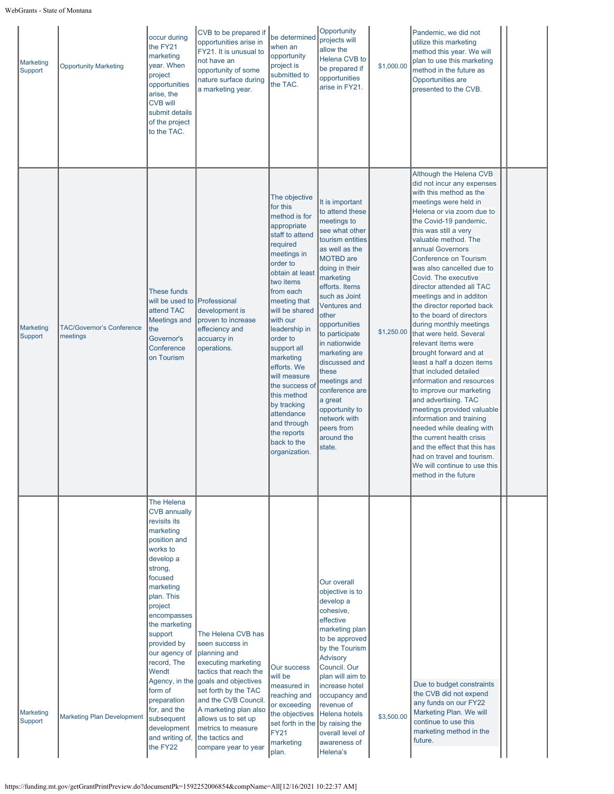| Marketing<br>Support        | <b>Opportunity Marketing</b>                 | occur during<br>the FY21<br>marketing<br>year. When<br>project<br>opportunities<br>arise, the<br><b>CVB will</b><br>submit details<br>of the project<br>to the TAC.                                                                                                                                                                                                          | CVB to be prepared if<br>opportunities arise in<br>FY21. It is unusual to<br>not have an<br>opportunity of some<br>nature surface during<br>a marketing year.                                                                                                                                                  | be determined<br>when an<br>opportunity<br>project is<br>submitted to<br>the TAC.                                                                                                                                                                                                                                                                                                                                                  | Opportunity<br>projects will<br>allow the<br><b>Helena CVB to</b><br>be prepared if<br>opportunities<br>arise in FY21.                                                                                                                                                                                                                                                                                                                              | \$1,000.00 | Pandemic, we did not<br>utilize this marketing<br>method this year. We will<br>plan to use this marketing<br>method in the future as<br>Opportunities are<br>presented to the CVB.                                                                                                                                                                                                                                                                                                                                                                                                                                                                                                                                                                                                                                                                                                                                                      |  |
|-----------------------------|----------------------------------------------|------------------------------------------------------------------------------------------------------------------------------------------------------------------------------------------------------------------------------------------------------------------------------------------------------------------------------------------------------------------------------|----------------------------------------------------------------------------------------------------------------------------------------------------------------------------------------------------------------------------------------------------------------------------------------------------------------|------------------------------------------------------------------------------------------------------------------------------------------------------------------------------------------------------------------------------------------------------------------------------------------------------------------------------------------------------------------------------------------------------------------------------------|-----------------------------------------------------------------------------------------------------------------------------------------------------------------------------------------------------------------------------------------------------------------------------------------------------------------------------------------------------------------------------------------------------------------------------------------------------|------------|-----------------------------------------------------------------------------------------------------------------------------------------------------------------------------------------------------------------------------------------------------------------------------------------------------------------------------------------------------------------------------------------------------------------------------------------------------------------------------------------------------------------------------------------------------------------------------------------------------------------------------------------------------------------------------------------------------------------------------------------------------------------------------------------------------------------------------------------------------------------------------------------------------------------------------------------|--|
| <b>Marketing</b><br>Support | <b>TAC/Governor's Conference</b><br>meetings | <b>These funds</b><br>will be used to Professional<br>attend TAC<br><b>Meetings and</b><br>the<br>Governor's<br>Conference<br>on Tourism                                                                                                                                                                                                                                     | development is<br>proven to increase<br>effeciency and<br>accuarcy in<br>operations.                                                                                                                                                                                                                           | The objective<br>for this<br>method is for<br>appropriate<br>staff to attend<br>required<br>meetings in<br>order to<br>obtain at least<br>two items<br>from each<br>meeting that<br>will be shared<br>with our<br>leadership in<br>order to<br>support all<br>marketing<br>efforts. We<br>will measure<br>the success of<br>this method<br>by tracking<br>attendance<br>and through<br>the reports<br>back to the<br>organization. | It is important<br>to attend these<br>meetings to<br>see what other<br>tourism entities<br>as well as the<br><b>MOTBD</b> are<br>doing in their<br>marketing<br>efforts. Items<br>such as Joint<br><b>Ventures and</b><br>other<br>opportunities<br>to participate<br>in nationwide<br>marketing are<br>discussed and<br>these<br>meetings and<br>conference are<br>a great<br>opportunity to<br>network with<br>peers from<br>around the<br>state. | \$1,250.00 | Although the Helena CVB<br>did not incur any expenses<br>with this method as the<br>meetings were held in<br>Helena or via zoom due to<br>the Covid-19 pandemic,<br>this was still a very<br>valuable method. The<br>annual Governors<br><b>Conference on Tourism</b><br>was also cancelled due to<br>Covid. The executive<br>director attended all TAC<br>meetings and in additon<br>the director reported back<br>to the board of directors<br>during monthly meetings<br>that were held. Several<br>relevant items were<br>brought forward and at<br>least a half a dozen items<br>that included detailed<br>information and resources<br>to improve our marketing<br>and advertising. TAC<br>meetings provided valuable<br>information and training<br>needed while dealing with<br>the current health crisis<br>and the effect that this has<br>had on travel and tourism.<br>We will continue to use this<br>method in the future |  |
| Marketing<br>Support        | <b>Marketing Plan Development</b>            | The Helena<br><b>CVB annually</b><br>revisits its<br>marketing<br>position and<br>works to<br>develop a<br>strong,<br>focused<br>marketing<br>plan. This<br>project<br>encompasses<br>the marketing<br>support<br>provided by<br>our agency of<br>record, The<br>Wendt<br>form of<br>preparation<br>for, and the<br>subsequent<br>development<br>and writing of,<br>the FY22 | The Helena CVB has<br>seen success in<br>planning and<br>executing marketing<br>tactics that reach the<br>Agency, in the goals and objectives<br>set forth by the TAC<br>and the CVB Council.<br>A marketing plan also<br>allows us to set up<br>metrics to measure<br>the tactics and<br>compare year to year | <b>Our success</b><br>will be<br>measured in<br>reaching and<br>or exceeding<br>the objectives<br>set forth in the<br><b>FY21</b><br>marketing<br>plan.                                                                                                                                                                                                                                                                            | <b>Our overall</b><br>objective is to<br>develop a<br>cohesive,<br>effective<br>marketing plan<br>to be approved<br>by the Tourism<br><b>Advisory</b><br>Council. Our<br>plan will aim to<br>increase hotel<br>occupancy and<br>revenue of<br>Helena hotels<br>by raising the<br>overall level of<br>awareness of<br>Helena's                                                                                                                       | \$3,500.00 | Due to budget constraints<br>the CVB did not expend<br>any funds on our FY22<br>Marketing Plan. We will<br>continue to use this<br>marketing method in the<br>future.                                                                                                                                                                                                                                                                                                                                                                                                                                                                                                                                                                                                                                                                                                                                                                   |  |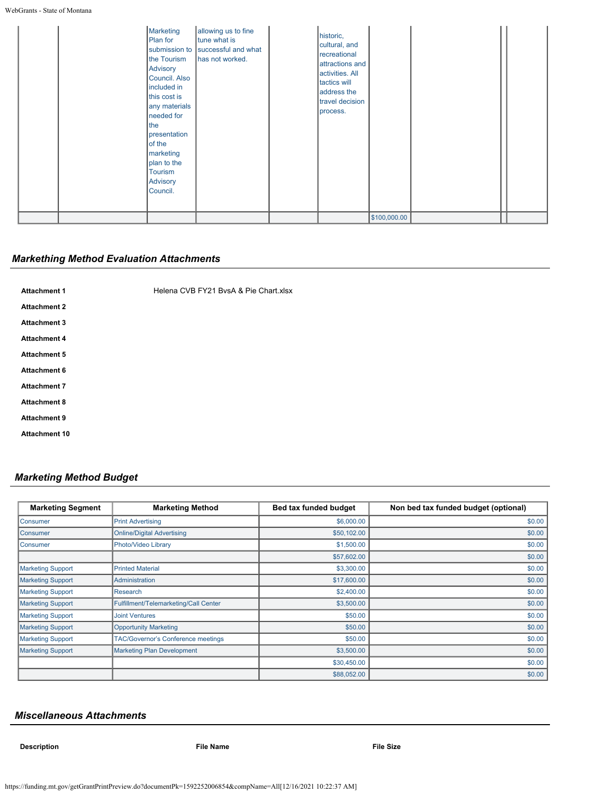| Marketing<br>Plan for<br>the Tourism<br>Advisory<br>Council. Also<br>included in<br>this cost is<br>any materials<br>needed for<br>the<br>presentation<br>of the<br>marketing<br>plan to the<br>Tourism<br><b>Advisory</b><br>Council. | allowing us to fine<br>tune what is<br>submission to successful and what<br>has not worked. | historic,<br>cultural, and<br>recreational<br>attractions and<br>activities. All<br>tactics will<br>address the<br>travel decision<br>process. |              |  |
|----------------------------------------------------------------------------------------------------------------------------------------------------------------------------------------------------------------------------------------|---------------------------------------------------------------------------------------------|------------------------------------------------------------------------------------------------------------------------------------------------|--------------|--|
|                                                                                                                                                                                                                                        |                                                                                             |                                                                                                                                                | \$100,000.00 |  |

# *Markething Method Evaluation Attachments*

Attachment 1 **Attachment 1** [Helena CVB FY21 BvsA & Pie Chart.xlsx](https://funding.mt.gov/fileDownload.jsp?filename=1635461222301_Helena+CVB+FY21+BvsA+%26+Pie+Chart.xlsx) **Attachment 2 Attachment 3 Attachment 4 Attachment 5 Attachment 6 Attachment 7 Attachment 8 Attachment 9 Attachment 10**

# *Marketing Method Budget*

| <b>Marketing Segment</b> | <b>Marketing Method</b>                   | Bed tax funded budget | Non bed tax funded budget (optional) |
|--------------------------|-------------------------------------------|-----------------------|--------------------------------------|
| <b>Consumer</b>          | <b>Print Advertising</b>                  | \$6,000.00            | \$0.00                               |
| <b>Consumer</b>          | <b>Online/Digital Advertising</b>         | \$50,102.00           | \$0.00                               |
| <b>Consumer</b>          | Photo/Video Library                       | \$1,500.00            | \$0.00                               |
|                          |                                           | \$57,602.00           | \$0.00                               |
| <b>Marketing Support</b> | <b>Printed Material</b>                   | \$3,300.00            | \$0.00                               |
| <b>Marketing Support</b> | Administration                            | \$17,600.00           | \$0.00                               |
| <b>Marketing Support</b> | <b>Research</b>                           | \$2,400.00            | \$0.00                               |
| <b>Marketing Support</b> | Fulfillment/Telemarketing/Call Center     | \$3,500.00            | \$0.00                               |
| <b>Marketing Support</b> | <b>Joint Ventures</b>                     | \$50.00               | \$0.00                               |
| <b>Marketing Support</b> | <b>Opportunity Marketing</b>              | \$50.00               | \$0.00                               |
| <b>Marketing Support</b> | <b>TAC/Governor's Conference meetings</b> | \$50.00               | \$0.00                               |
| <b>Marketing Support</b> | <b>Marketing Plan Development</b>         | \$3,500.00            | \$0.00                               |
|                          |                                           | \$30,450.00           | \$0.00                               |
|                          |                                           | \$88,052.00           | \$0.00                               |

### *Miscellaneous Attachments*

**Description File Name File Size**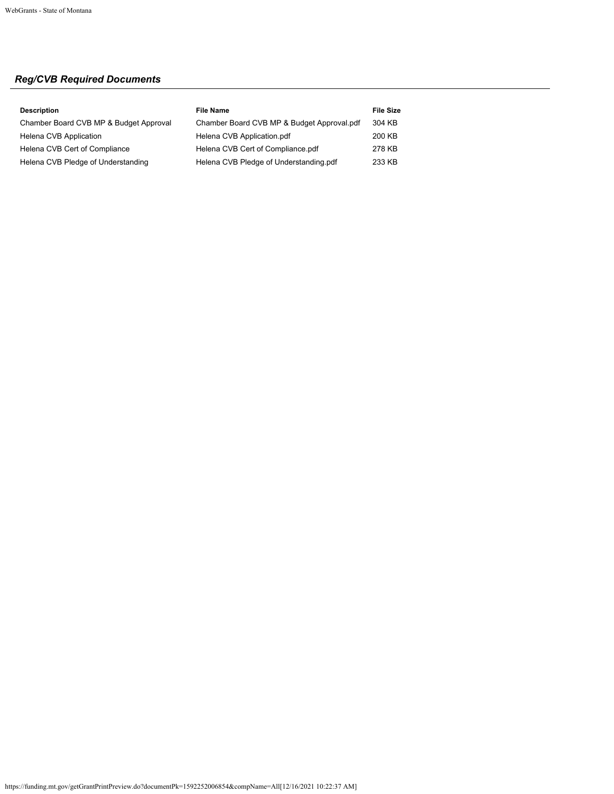# *Reg/CVB Required Documents*

| <b>Description</b>                     | <b>File Name</b>                           | <b>File Size</b> |
|----------------------------------------|--------------------------------------------|------------------|
| Chamber Board CVB MP & Budget Approval | Chamber Board CVB MP & Budget Approval.pdf | 304 KB           |
| Helena CVB Application                 | Helena CVB Application.pdf                 | 200 KB           |
| Helena CVB Cert of Compliance          | Helena CVB Cert of Compliance.pdf          | 278 KB           |
| Helena CVB Pledge of Understanding     | Helena CVB Pledge of Understanding.pdf     | 233 KB           |